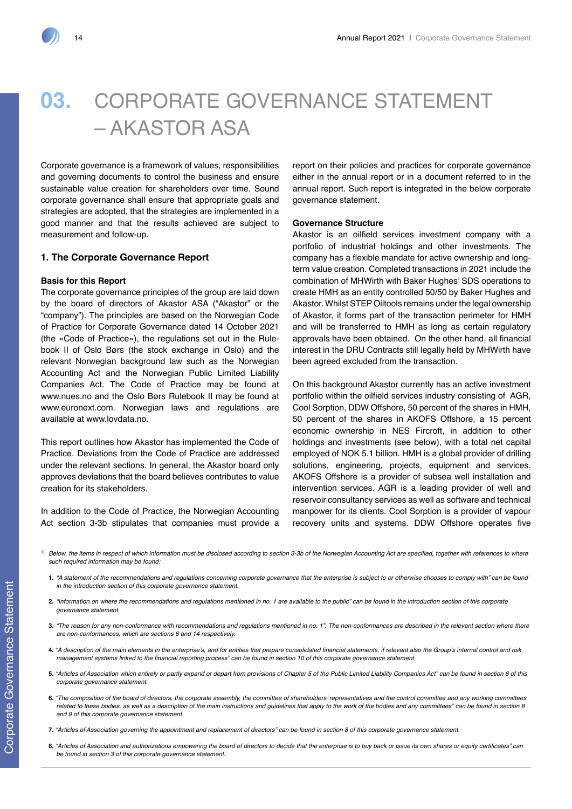# **03.** CORPORATE GOVERNANCE STATEMENT – AKASTOR ASA

Corporate governance is a framework of values, responsibilities and governing documents to control the business and ensure sustainable value creation for shareholders over time. Sound corporate governance shall ensure that appropriate goals and strategies are adopted, that the strategies are implemented in a good manner and that the results achieved are subject to measurement and follow-up.

# **1. The Corporate Governance Report**

### **Basis for this Report**

The corporate governance principles of the group are laid down by the board of directors of Akastor ASA ("Akastor" or the "company"). The principles are based on the Norwegian Code of Practice for Corporate Governance dated 14 October 2021 (the «Code of Practice»), the regulations set out in the Rulebook II of Oslo Børs (the stock exchange in Oslo) and the relevant Norwegian background law such as the Norwegian Accounting Act and the Norwegian Public Limited Liability Companies Act. The Code of Practice may be found at www.nues.no and the Oslo Børs Rulebook II may be found at www.euronext.com. Norwegian laws and regulations are available at www.lovdata.no.

This report outlines how Akastor has implemented the Code of Practice. Deviations from the Code of Practice are addressed under the relevant sections. In general, the Akastor board only approves deviations that the board believes contributes to value creation for its stakeholders.

In addition to the Code of Practice, the Norwegian Accounting Act section 3-3b stipulates that companies must provide a report on their policies and practices for corporate governance either in the annual report or in a document referred to in the annual report. Such report is integrated in the below corporate governance statement.

#### **Governance Structure**

Akastor is an oilfield services investment company with a portfolio of industrial holdings and other investments. The company has a flexible mandate for active ownership and longterm value creation. Completed transactions in 2021 include the combination of MHWirth with Baker Hughes' SDS operations to create HMH as an entity controlled 50/50 by Baker Hughes and Akastor. Whilst STEP Oiltools remains under the legal ownership of Akastor, it forms part of the transaction perimeter for HMH and will be transferred to HMH as long as certain regulatory approvals have been obtained. On the other hand, all financial interest in the DRU Contracts still legally held by MHWirth have been agreed excluded from the transaction.

On this background Akastor currently has an active investment portfolio within the oilfield services industry consisting of AGR, Cool Sorption, DDW Offshore, 50 percent of the shares in HMH, 50 percent of the shares in AKOFS Offshore, a 15 percent economic ownership in NES Fircroft, in addition to other holdings and investments (see below), with a total net capital employed of NOK 5.1 billion. HMH is a global provider of drilling solutions, engineering, projects, equipment and services. AKOFS Offshore is a provider of subsea well installation and intervention services. AGR is a leading provider of well and reservoir consultancy services as well as software and technical manpower for its clients. Cool Sorption is a provider of vapour recovery units and systems. DDW Offshore operates five

- 1) Below, the items in respect of which information must be disclosed according to section 3-3b of the Norwegian Accounting Act are specified, together with references to where *such required information may be found:*
	- **1.** *"A statement of the recommendations and regulations concerning corporate governance that the enterprise is subject to or otherwise chooses to comply with" can be found in the introduction section of this corporate governance statement.*
	- **2.** *"Information on where the recommendations and regulations mentioned in no. 1 are available to the public" can be found in the introduction section of this corporate governance statement.*
	- **3.** *"The reason for any non-conformance with recommendations and regulations mentioned in no. 1". The non-conformances are described in the relevant section where there are non-conformances, which are sections 6 and 14 respectively.*
	- **4.** "A description of the main elements in the enterprise's, and for entities that prepare consolidated financial statements, if relevant also the Group's internal control and risk management systems linked to the financial reporting process" can be found in section 10 of this corporate governance statement.
	- **5.** *"Articles of Association which entirely or partly expand or depart from provisions of Chapter 5 of the Public Limited Liability Companies Act" can be found in section 6 of this corporate governance statement.*
	- **6.** "The composition of the board of directors, the corporate assembly, the committee of shareholders' representatives and the control committee and any working committees related to these bodies, as well as a description of the main instructions and guidelines that apply to the work of the bodies and any committees" can be found in section 8 *and 9 of this corporate governance statement.*
	- **7.** "Articles of Association governing the appointment and replacement of directors" can be found in section 8 of this corporate governance statement.
	- **8.** "Articles of Association and authorizations empowering the board of directors to decide that the enterprise is to buy back or issue its own shares or equity certificates" can *be found in section 3 of this corporate governance statement.*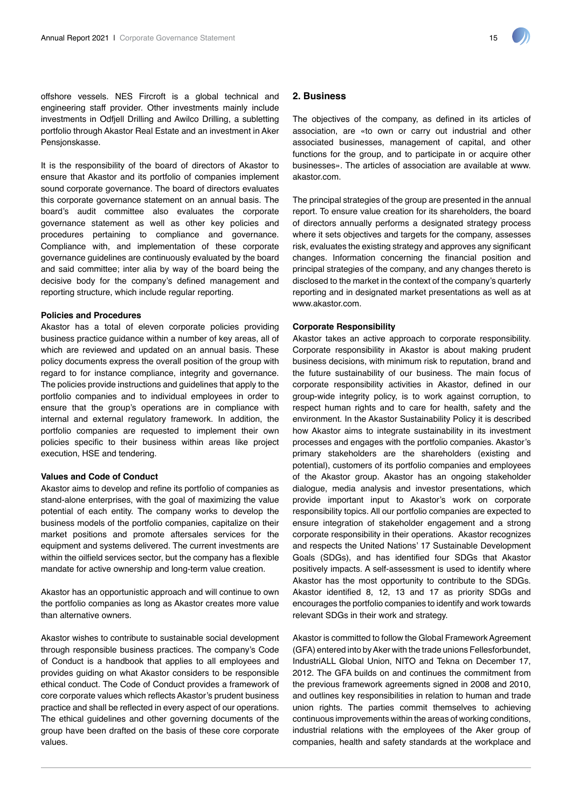offshore vessels. NES Fircroft is a global technical and engineering staff provider. Other investments mainly include investments in Odfjell Drilling and Awilco Drilling, a subletting portfolio through Akastor Real Estate and an investment in Aker Pensjonskasse.

It is the responsibility of the board of directors of Akastor to ensure that Akastor and its portfolio of companies implement sound corporate governance. The board of directors evaluates this corporate governance statement on an annual basis. The board's audit committee also evaluates the corporate governance statement as well as other key policies and procedures pertaining to compliance and governance. Compliance with, and implementation of these corporate governance guidelines are continuously evaluated by the board and said committee; inter alia by way of the board being the decisive body for the company's defined management and reporting structure, which include regular reporting.

# **Policies and Procedures**

Akastor has a total of eleven corporate policies providing business practice guidance within a number of key areas, all of which are reviewed and updated on an annual basis. These policy documents express the overall position of the group with regard to for instance compliance, integrity and governance. The policies provide instructions and guidelines that apply to the portfolio companies and to individual employees in order to ensure that the group's operations are in compliance with internal and external regulatory framework. In addition, the portfolio companies are requested to implement their own policies specific to their business within areas like project execution, HSE and tendering.

#### **Values and Code of Conduct**

Akastor aims to develop and refine its portfolio of companies as stand-alone enterprises, with the goal of maximizing the value potential of each entity. The company works to develop the business models of the portfolio companies, capitalize on their market positions and promote aftersales services for the equipment and systems delivered. The current investments are within the oilfield services sector, but the company has a flexible mandate for active ownership and long-term value creation.

Akastor has an opportunistic approach and will continue to own the portfolio companies as long as Akastor creates more value than alternative owners.

Akastor wishes to contribute to sustainable social development through responsible business practices. The company's Code of Conduct is a handbook that applies to all employees and provides guiding on what Akastor considers to be responsible ethical conduct. The Code of Conduct provides a framework of core corporate values which reflects Akastor's prudent business practice and shall be reflected in every aspect of our operations. The ethical guidelines and other governing documents of the group have been drafted on the basis of these core corporate values.

# **2. Business**

The objectives of the company, as defined in its articles of association, are «to own or carry out industrial and other associated businesses, management of capital, and other functions for the group, and to participate in or acquire other businesses». The articles of association are available at www. akastor.com.

The principal strategies of the group are presented in the annual report. To ensure value creation for its shareholders, the board of directors annually performs a designated strategy process where it sets objectives and targets for the company, assesses risk, evaluates the existing strategy and approves any significant changes. Information concerning the financial position and principal strategies of the company, and any changes thereto is disclosed to the market in the context of the company's quarterly reporting and in designated market presentations as well as at www.akastor.com.

#### **Corporate Responsibility**

Akastor takes an active approach to corporate responsibility. Corporate responsibility in Akastor is about making prudent business decisions, with minimum risk to reputation, brand and the future sustainability of our business. The main focus of corporate responsibility activities in Akastor, defined in our group-wide integrity policy, is to work against corruption, to respect human rights and to care for health, safety and the environment. In the Akastor Sustainability Policy it is described how Akastor aims to integrate sustainability in its investment processes and engages with the portfolio companies. Akastor's primary stakeholders are the shareholders (existing and potential), customers of its portfolio companies and employees of the Akastor group. Akastor has an ongoing stakeholder dialogue, media analysis and investor presentations, which provide important input to Akastor's work on corporate responsibility topics. All our portfolio companies are expected to ensure integration of stakeholder engagement and a strong corporate responsibility in their operations. Akastor recognizes and respects the United Nations' 17 Sustainable Development Goals (SDGs), and has identified four SDGs that Akastor positively impacts. A self-assessment is used to identify where Akastor has the most opportunity to contribute to the SDGs. Akastor identified 8, 12, 13 and 17 as priority SDGs and encourages the portfolio companies to identify and work towards relevant SDGs in their work and strategy.

Akastor is committed to follow the Global Framework Agreement (GFA) entered into by Aker with the trade unions Fellesforbundet, IndustriALL Global Union, NITO and Tekna on December 17, 2012. The GFA builds on and continues the commitment from the previous framework agreements signed in 2008 and 2010, and outlines key responsibilities in relation to human and trade union rights. The parties commit themselves to achieving continuous improvements within the areas of working conditions, industrial relations with the employees of the Aker group of companies, health and safety standards at the workplace and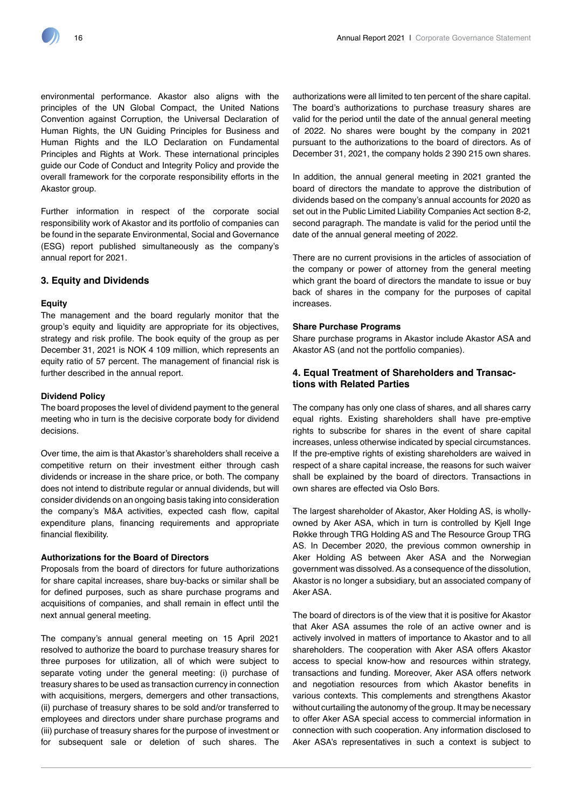environmental performance. Akastor also aligns with the principles of the UN Global Compact, the United Nations Convention against Corruption, the Universal Declaration of Human Rights, the UN Guiding Principles for Business and Human Rights and the ILO Declaration on Fundamental Principles and Rights at Work. These international principles guide our Code of Conduct and Integrity Policy and provide the overall framework for the corporate responsibility efforts in the Akastor group.

Further information in respect of the corporate social responsibility work of Akastor and its portfolio of companies can be found in the separate Environmental, Social and Governance (ESG) report published simultaneously as the company's annual report for 2021.

# **3. Equity and Dividends**

#### **Equity**

The management and the board regularly monitor that the group's equity and liquidity are appropriate for its objectives, strategy and risk profile. The book equity of the group as per December 31, 2021 is NOK 4 109 million, which represents an equity ratio of 57 percent. The management of financial risk is further described in the annual report.

# **Dividend Policy**

The board proposes the level of dividend payment to the general meeting who in turn is the decisive corporate body for dividend decisions.

Over time, the aim is that Akastor's shareholders shall receive a competitive return on their investment either through cash dividends or increase in the share price, or both. The company does not intend to distribute regular or annual dividends, but will consider dividends on an ongoing basis taking into consideration the company's M&A activities, expected cash flow, capital expenditure plans, financing requirements and appropriate financial flexibility.

#### **Authorizations for the Board of Directors**

Proposals from the board of directors for future authorizations for share capital increases, share buy-backs or similar shall be for defined purposes, such as share purchase programs and acquisitions of companies, and shall remain in effect until the next annual general meeting.

The company's annual general meeting on 15 April 2021 resolved to authorize the board to purchase treasury shares for three purposes for utilization, all of which were subject to separate voting under the general meeting: (i) purchase of treasury shares to be used as transaction currency in connection with acquisitions, mergers, demergers and other transactions, (ii) purchase of treasury shares to be sold and/or transferred to employees and directors under share purchase programs and (iii) purchase of treasury shares for the purpose of investment or for subsequent sale or deletion of such shares. The

authorizations were all limited to ten percent of the share capital. The board's authorizations to purchase treasury shares are valid for the period until the date of the annual general meeting of 2022. No shares were bought by the company in 2021 pursuant to the authorizations to the board of directors. As of December 31, 2021, the company holds 2 390 215 own shares.

In addition, the annual general meeting in 2021 granted the board of directors the mandate to approve the distribution of dividends based on the company's annual accounts for 2020 as set out in the Public Limited Liability Companies Act section 8-2, second paragraph. The mandate is valid for the period until the date of the annual general meeting of 2022.

There are no current provisions in the articles of association of the company or power of attorney from the general meeting which grant the board of directors the mandate to issue or buy back of shares in the company for the purposes of capital increases.

#### **Share Purchase Programs**

Share purchase programs in Akastor include Akastor ASA and Akastor AS (and not the portfolio companies).

# **4. Equal Treatment of Shareholders and Transactions with Related Parties**

The company has only one class of shares, and all shares carry equal rights. Existing shareholders shall have pre-emptive rights to subscribe for shares in the event of share capital increases, unless otherwise indicated by special circumstances. If the pre-emptive rights of existing shareholders are waived in respect of a share capital increase, the reasons for such waiver shall be explained by the board of directors. Transactions in own shares are effected via Oslo Børs.

The largest shareholder of Akastor, Aker Holding AS, is whollyowned by Aker ASA, which in turn is controlled by Kjell Inge Røkke through TRG Holding AS and The Resource Group TRG AS. In December 2020, the previous common ownership in Aker Holding AS between Aker ASA and the Norwegian government was dissolved. As a consequence of the dissolution, Akastor is no longer a subsidiary, but an associated company of Aker ASA.

The board of directors is of the view that it is positive for Akastor that Aker ASA assumes the role of an active owner and is actively involved in matters of importance to Akastor and to all shareholders. The cooperation with Aker ASA offers Akastor access to special know-how and resources within strategy, transactions and funding. Moreover, Aker ASA offers network and negotiation resources from which Akastor benefits in various contexts. This complements and strengthens Akastor without curtailing the autonomy of the group. It may be necessary to offer Aker ASA special access to commercial information in connection with such cooperation. Any information disclosed to Aker ASA's representatives in such a context is subject to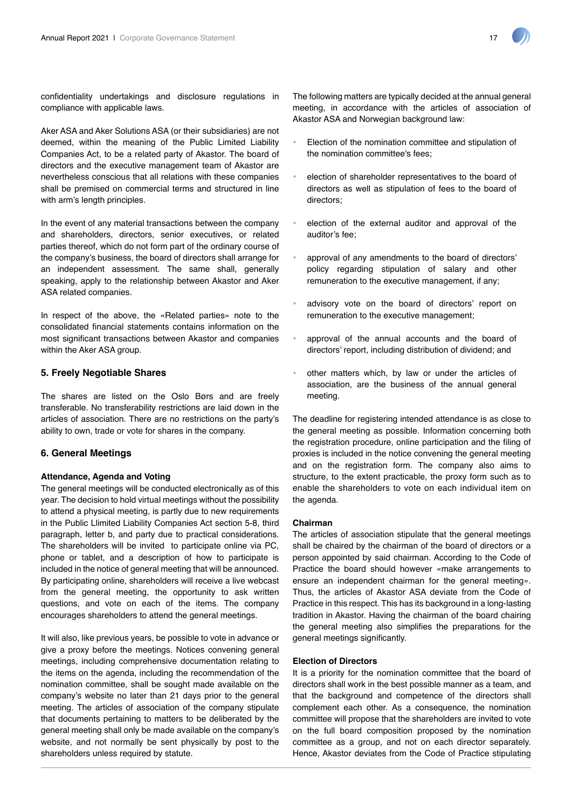confidentiality undertakings and disclosure regulations in compliance with applicable laws.

Aker ASA and Aker Solutions ASA (or their subsidiaries) are not deemed, within the meaning of the Public Limited Liability Companies Act, to be a related party of Akastor. The board of directors and the executive management team of Akastor are nevertheless conscious that all relations with these companies shall be premised on commercial terms and structured in line with arm's length principles.

In the event of any material transactions between the company and shareholders, directors, senior executives, or related parties thereof, which do not form part of the ordinary course of the company's business, the board of directors shall arrange for an independent assessment. The same shall, generally speaking, apply to the relationship between Akastor and Aker ASA related companies.

In respect of the above, the «Related parties» note to the consolidated financial statements contains information on the most significant transactions between Akastor and companies within the Aker ASA group.

# **5. Freely Negotiable Shares**

The shares are listed on the Oslo Børs and are freely transferable. No transferability restrictions are laid down in the articles of association. There are no restrictions on the party's ability to own, trade or vote for shares in the company.

# **6. General Meetings**

# **Attendance, Agenda and Voting**

The general meetings will be conducted electronically as of this year. The decision to hold virtual meetings without the possibility to attend a physical meeting, is partly due to new requirements in the Public Llimited Liability Companies Act section 5-8, third paragraph, letter b, and party due to practical considerations. The shareholders will be invited to participate online via PC, phone or tablet, and a description of how to participate is included in the notice of general meeting that will be announced. By participating online, shareholders will receive a live webcast from the general meeting, the opportunity to ask written questions, and vote on each of the items. The company encourages shareholders to attend the general meetings.

It will also, like previous years, be possible to vote in advance or give a proxy before the meetings. Notices convening general meetings, including comprehensive documentation relating to the items on the agenda, including the recommendation of the nomination committee, shall be sought made available on the company's website no later than 21 days prior to the general meeting. The articles of association of the company stipulate that documents pertaining to matters to be deliberated by the general meeting shall only be made available on the company's website, and not normally be sent physically by post to the shareholders unless required by statute.

The following matters are typically decided at the annual general meeting, in accordance with the articles of association of Akastor ASA and Norwegian background law:

- Election of the nomination committee and stipulation of the nomination committee's fees;
- election of shareholder representatives to the board of directors as well as stipulation of fees to the board of directors;
- election of the external auditor and approval of the auditor's fee;
- approval of any amendments to the board of directors' policy regarding stipulation of salary and other remuneration to the executive management, if any;
- advisory vote on the board of directors' report on remuneration to the executive management;
- approval of the annual accounts and the board of directors' report, including distribution of dividend; and
- other matters which, by law or under the articles of association, are the business of the annual general meeting.

The deadline for registering intended attendance is as close to the general meeting as possible. Information concerning both the registration procedure, online participation and the filing of proxies is included in the notice convening the general meeting and on the registration form. The company also aims to structure, to the extent practicable, the proxy form such as to enable the shareholders to vote on each individual item on the agenda.

# **Chairman**

The articles of association stipulate that the general meetings shall be chaired by the chairman of the board of directors or a person appointed by said chairman. According to the Code of Practice the board should however «make arrangements to ensure an independent chairman for the general meeting». Thus, the articles of Akastor ASA deviate from the Code of Practice in this respect. This has its background in a long-lasting tradition in Akastor. Having the chairman of the board chairing the general meeting also simplifies the preparations for the general meetings significantly.

# **Election of Directors**

It is a priority for the nomination committee that the board of directors shall work in the best possible manner as a team, and that the background and competence of the directors shall complement each other. As a consequence, the nomination committee will propose that the shareholders are invited to vote on the full board composition proposed by the nomination committee as a group, and not on each director separately. Hence, Akastor deviates from the Code of Practice stipulating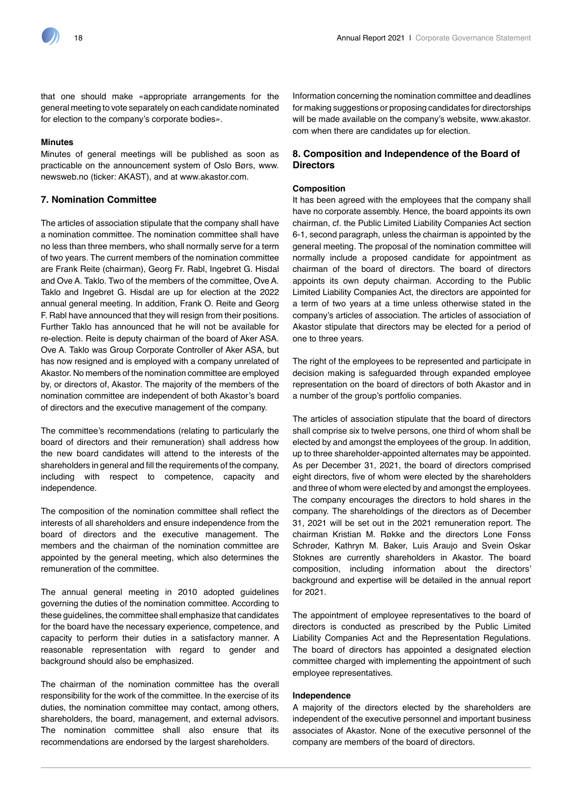

that one should make «appropriate arrangements for the general meeting to vote separately on each candidate nominated for election to the company's corporate bodies».

# **Minutes**

Minutes of general meetings will be published as soon as practicable on the announcement system of Oslo Børs, www. newsweb.no (ticker: AKAST), and at www.akastor.com.

# **7. Nomination Committee**

The articles of association stipulate that the company shall have a nomination committee. The nomination committee shall have no less than three members, who shall normally serve for a term of two years. The current members of the nomination committee are Frank Reite (chairman), Georg Fr. Rabl, Ingebret G. Hisdal and Ove A. Taklo. Two of the members of the committee, Ove A. Taklo and Ingebret G. Hisdal are up for election at the 2022 annual general meeting. In addition, Frank O. Reite and Georg F. Rabl have announced that they will resign from their positions. Further Taklo has announced that he will not be available for re-election. Reite is deputy chairman of the board of Aker ASA. Ove A. Taklo was Group Corporate Controller of Aker ASA, but has now resigned and is employed with a company unrelated of Akastor. No members of the nomination committee are employed by, or directors of, Akastor. The majority of the members of the nomination committee are independent of both Akastor's board of directors and the executive management of the company.

The committee's recommendations (relating to particularly the board of directors and their remuneration) shall address how the new board candidates will attend to the interests of the shareholders in general and fill the requirements of the company, including with respect to competence, capacity and independence.

The composition of the nomination committee shall reflect the interests of all shareholders and ensure independence from the board of directors and the executive management. The members and the chairman of the nomination committee are appointed by the general meeting, which also determines the remuneration of the committee.

The annual general meeting in 2010 adopted guidelines governing the duties of the nomination committee. According to these guidelines, the committee shall emphasize that candidates for the board have the necessary experience, competence, and capacity to perform their duties in a satisfactory manner. A reasonable representation with regard to gender and background should also be emphasized.

The chairman of the nomination committee has the overall responsibility for the work of the committee. In the exercise of its duties, the nomination committee may contact, among others, shareholders, the board, management, and external advisors. The nomination committee shall also ensure that its recommendations are endorsed by the largest shareholders.

Information concerning the nomination committee and deadlines for making suggestions or proposing candidates for directorships will be made available on the company's website, www.akastor. com when there are candidates up for election.

# **8. Composition and Independence of the Board of Directors**

# **Composition**

It has been agreed with the employees that the company shall have no corporate assembly. Hence, the board appoints its own chairman, cf. the Public Limited Liability Companies Act section 6-1, second paragraph, unless the chairman is appointed by the general meeting. The proposal of the nomination committee will normally include a proposed candidate for appointment as chairman of the board of directors. The board of directors appoints its own deputy chairman. According to the Public Limited Liability Companies Act, the directors are appointed for a term of two years at a time unless otherwise stated in the company's articles of association. The articles of association of Akastor stipulate that directors may be elected for a period of one to three years.

The right of the employees to be represented and participate in decision making is safeguarded through expanded employee representation on the board of directors of both Akastor and in a number of the group's portfolio companies.

The articles of association stipulate that the board of directors shall comprise six to twelve persons, one third of whom shall be elected by and amongst the employees of the group. In addition, up to three shareholder-appointed alternates may be appointed. As per December 31, 2021, the board of directors comprised eight directors, five of whom were elected by the shareholders and three of whom were elected by and amongst the employees. The company encourages the directors to hold shares in the company. The shareholdings of the directors as of December 31, 2021 will be set out in the 2021 remuneration report. The chairman Kristian M. Røkke and the directors Lone Fønss Schrøder, Kathryn M. Baker, Luis Araujo and Svein Oskar Stoknes are currently shareholders in Akastor. The board composition, including information about the directors' background and expertise will be detailed in the annual report for 2021.

The appointment of employee representatives to the board of directors is conducted as prescribed by the Public Limited Liability Companies Act and the Representation Regulations. The board of directors has appointed a designated election committee charged with implementing the appointment of such employee representatives.

#### **Independence**

A majority of the directors elected by the shareholders are independent of the executive personnel and important business associates of Akastor. None of the executive personnel of the company are members of the board of directors.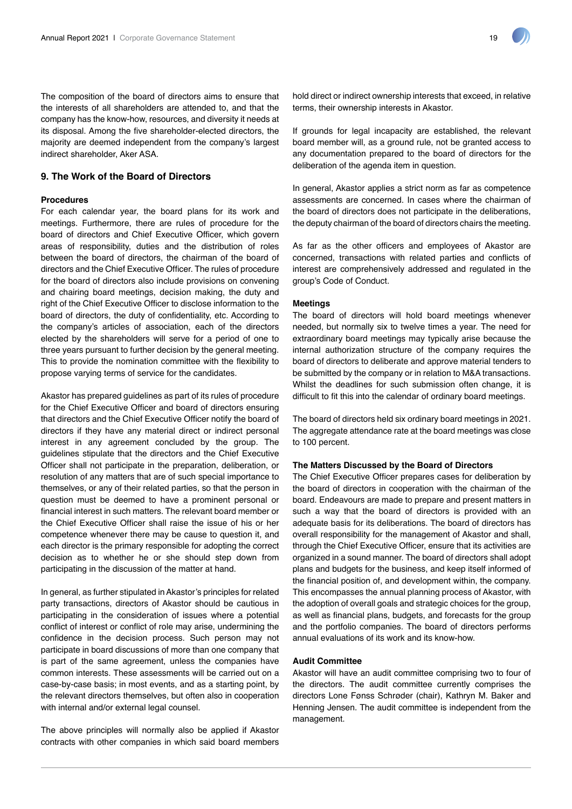

The composition of the board of directors aims to ensure that the interests of all shareholders are attended to, and that the company has the know-how, resources, and diversity it needs at its disposal. Among the five shareholder-elected directors, the majority are deemed independent from the company's largest indirect shareholder, Aker ASA.

# **9. The Work of the Board of Directors**

# **Procedures**

For each calendar year, the board plans for its work and meetings. Furthermore, there are rules of procedure for the board of directors and Chief Executive Officer, which govern areas of responsibility, duties and the distribution of roles between the board of directors, the chairman of the board of directors and the Chief Executive Officer. The rules of procedure for the board of directors also include provisions on convening and chairing board meetings, decision making, the duty and right of the Chief Executive Officer to disclose information to the board of directors, the duty of confidentiality, etc. According to the company's articles of association, each of the directors elected by the shareholders will serve for a period of one to three years pursuant to further decision by the general meeting. This to provide the nomination committee with the flexibility to propose varying terms of service for the candidates.

Akastor has prepared guidelines as part of its rules of procedure for the Chief Executive Officer and board of directors ensuring that directors and the Chief Executive Officer notify the board of directors if they have any material direct or indirect personal interest in any agreement concluded by the group. The guidelines stipulate that the directors and the Chief Executive Officer shall not participate in the preparation, deliberation, or resolution of any matters that are of such special importance to themselves, or any of their related parties, so that the person in question must be deemed to have a prominent personal or financial interest in such matters. The relevant board member or the Chief Executive Officer shall raise the issue of his or her competence whenever there may be cause to question it, and each director is the primary responsible for adopting the correct decision as to whether he or she should step down from participating in the discussion of the matter at hand.

In general, as further stipulated in Akastor's principles for related party transactions, directors of Akastor should be cautious in participating in the consideration of issues where a potential conflict of interest or conflict of role may arise, undermining the confidence in the decision process. Such person may not participate in board discussions of more than one company that is part of the same agreement, unless the companies have common interests. These assessments will be carried out on a case-by-case basis; in most events, and as a starting point, by the relevant directors themselves, but often also in cooperation with internal and/or external legal counsel.

The above principles will normally also be applied if Akastor contracts with other companies in which said board members hold direct or indirect ownership interests that exceed, in relative terms, their ownership interests in Akastor.

If grounds for legal incapacity are established, the relevant board member will, as a ground rule, not be granted access to any documentation prepared to the board of directors for the deliberation of the agenda item in question.

In general, Akastor applies a strict norm as far as competence assessments are concerned. In cases where the chairman of the board of directors does not participate in the deliberations, the deputy chairman of the board of directors chairs the meeting.

As far as the other officers and employees of Akastor are concerned, transactions with related parties and conflicts of interest are comprehensively addressed and regulated in the group's Code of Conduct.

#### **Meetings**

The board of directors will hold board meetings whenever needed, but normally six to twelve times a year. The need for extraordinary board meetings may typically arise because the internal authorization structure of the company requires the board of directors to deliberate and approve material tenders to be submitted by the company or in relation to M&A transactions. Whilst the deadlines for such submission often change, it is difficult to fit this into the calendar of ordinary board meetings.

The board of directors held six ordinary board meetings in 2021. The aggregate attendance rate at the board meetings was close to 100 percent.

#### **The Matters Discussed by the Board of Directors**

The Chief Executive Officer prepares cases for deliberation by the board of directors in cooperation with the chairman of the board. Endeavours are made to prepare and present matters in such a way that the board of directors is provided with an adequate basis for its deliberations. The board of directors has overall responsibility for the management of Akastor and shall, through the Chief Executive Officer, ensure that its activities are organized in a sound manner. The board of directors shall adopt plans and budgets for the business, and keep itself informed of the financial position of, and development within, the company. This encompasses the annual planning process of Akastor, with the adoption of overall goals and strategic choices for the group, as well as financial plans, budgets, and forecasts for the group and the portfolio companies. The board of directors performs annual evaluations of its work and its know-how.

# **Audit Committee**

Akastor will have an audit committee comprising two to four of the directors. The audit committee currently comprises the directors Lone Fønss Schrøder (chair), Kathryn M. Baker and Henning Jensen. The audit committee is independent from the management.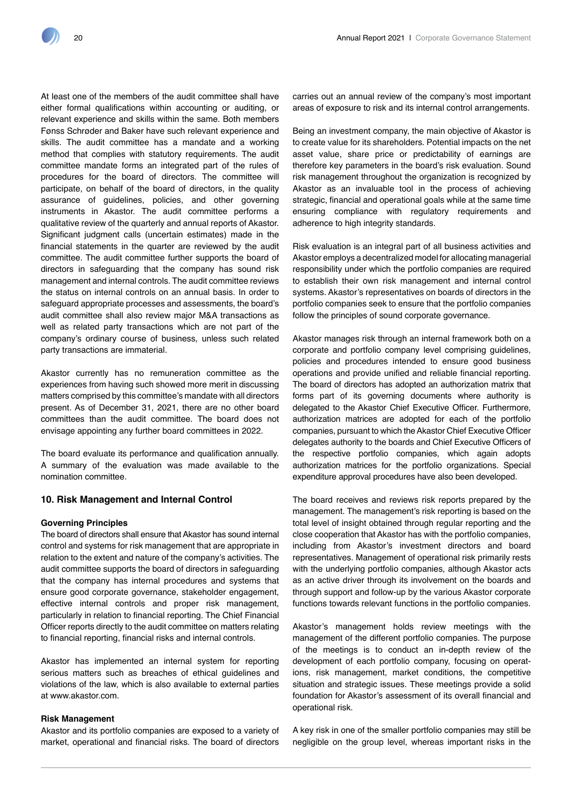At least one of the members of the audit committee shall have either formal qualifications within accounting or auditing, or relevant experience and skills within the same. Both members Fønss Schrøder and Baker have such relevant experience and skills. The audit committee has a mandate and a working method that complies with statutory requirements. The audit committee mandate forms an integrated part of the rules of procedures for the board of directors. The committee will participate, on behalf of the board of directors, in the quality assurance of guidelines, policies, and other governing instruments in Akastor. The audit committee performs a qualitative review of the quarterly and annual reports of Akastor. Significant judgment calls (uncertain estimates) made in the financial statements in the quarter are reviewed by the audit committee. The audit committee further supports the board of directors in safeguarding that the company has sound risk management and internal controls. The audit committee reviews the status on internal controls on an annual basis. In order to safeguard appropriate processes and assessments, the board's audit committee shall also review major M&A transactions as well as related party transactions which are not part of the company's ordinary course of business, unless such related party transactions are immaterial.

Akastor currently has no remuneration committee as the experiences from having such showed more merit in discussing matters comprised by this committee's mandate with all directors present. As of December 31, 2021, there are no other board committees than the audit committee. The board does not envisage appointing any further board committees in 2022.

The board evaluate its performance and qualification annually. A summary of the evaluation was made available to the nomination committee.

# **10. Risk Management and Internal Control**

# **Governing Principles**

The board of directors shall ensure that Akastor has sound internal control and systems for risk management that are appropriate in relation to the extent and nature of the company's activities. The audit committee supports the board of directors in safeguarding that the company has internal procedures and systems that ensure good corporate governance, stakeholder engagement, effective internal controls and proper risk management, particularly in relation to financial reporting. The Chief Financial Officer reports directly to the audit committee on matters relating to financial reporting, financial risks and internal controls.

Akastor has implemented an internal system for reporting serious matters such as breaches of ethical guidelines and violations of the law, which is also available to external parties at www.akastor.com.

# **Risk Management**

Akastor and its portfolio companies are exposed to a variety of market, operational and financial risks. The board of directors carries out an annual review of the company's most important areas of exposure to risk and its internal control arrangements.

Being an investment company, the main objective of Akastor is to create value for its shareholders. Potential impacts on the net asset value, share price or predictability of earnings are therefore key parameters in the board's risk evaluation. Sound risk management throughout the organization is recognized by Akastor as an invaluable tool in the process of achieving strategic, financial and operational goals while at the same time ensuring compliance with regulatory requirements and adherence to high integrity standards.

Risk evaluation is an integral part of all business activities and Akastor employs a decentralized model for allocating managerial responsibility under which the portfolio companies are required to establish their own risk management and internal control systems. Akastor's representatives on boards of directors in the portfolio companies seek to ensure that the portfolio companies follow the principles of sound corporate governance.

Akastor manages risk through an internal framework both on a corporate and portfolio company level comprising guidelines, policies and procedures intended to ensure good business operations and provide unified and reliable financial reporting. The board of directors has adopted an authorization matrix that forms part of its governing documents where authority is delegated to the Akastor Chief Executive Officer. Furthermore, authorization matrices are adopted for each of the portfolio companies, pursuant to which the Akastor Chief Executive Officer delegates authority to the boards and Chief Executive Officers of the respective portfolio companies, which again adopts authorization matrices for the portfolio organizations. Special expenditure approval procedures have also been developed.

The board receives and reviews risk reports prepared by the management. The management's risk reporting is based on the total level of insight obtained through regular reporting and the close cooperation that Akastor has with the portfolio companies, including from Akastor's investment directors and board representatives. Management of operational risk primarily rests with the underlying portfolio companies, although Akastor acts as an active driver through its involvement on the boards and through support and follow-up by the various Akastor corporate functions towards relevant functions in the portfolio companies.

Akastor's management holds review meetings with the management of the different portfolio companies. The purpose of the meetings is to conduct an in-depth review of the development of each portfolio company, focusing on operations, risk management, market conditions, the competitive situation and strategic issues. These meetings provide a solid foundation for Akastor's assessment of its overall financial and operational risk.

A key risk in one of the smaller portfolio companies may still be negligible on the group level, whereas important risks in the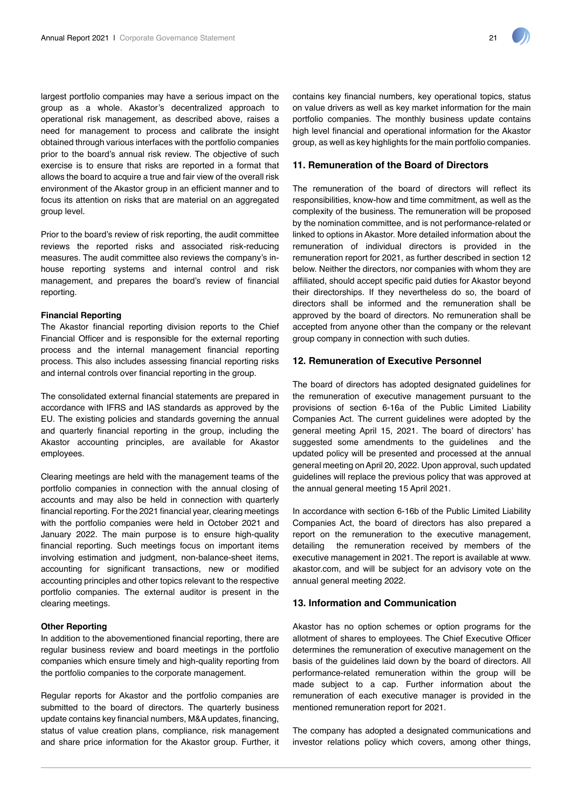largest portfolio companies may have a serious impact on the group as a whole. Akastor's decentralized approach to operational risk management, as described above, raises a need for management to process and calibrate the insight obtained through various interfaces with the portfolio companies prior to the board's annual risk review. The objective of such exercise is to ensure that risks are reported in a format that allows the board to acquire a true and fair view of the overall risk environment of the Akastor group in an efficient manner and to focus its attention on risks that are material on an aggregated group level.

Prior to the board's review of risk reporting, the audit committee reviews the reported risks and associated risk-reducing measures. The audit committee also reviews the company's inhouse reporting systems and internal control and risk management, and prepares the board's review of financial reporting.

# **Financial Reporting**

The Akastor financial reporting division reports to the Chief Financial Officer and is responsible for the external reporting process and the internal management financial reporting process. This also includes assessing financial reporting risks and internal controls over financial reporting in the group.

The consolidated external financial statements are prepared in accordance with IFRS and IAS standards as approved by the EU. The existing policies and standards governing the annual and quarterly financial reporting in the group, including the Akastor accounting principles, are available for Akastor employees.

Clearing meetings are held with the management teams of the portfolio companies in connection with the annual closing of accounts and may also be held in connection with quarterly financial reporting. For the 2021 financial year, clearing meetings with the portfolio companies were held in October 2021 and January 2022. The main purpose is to ensure high-quality financial reporting. Such meetings focus on important items involving estimation and judgment, non-balance-sheet items, accounting for significant transactions, new or modified accounting principles and other topics relevant to the respective portfolio companies. The external auditor is present in the clearing meetings.

# **Other Reporting**

In addition to the abovementioned financial reporting, there are regular business review and board meetings in the portfolio companies which ensure timely and high-quality reporting from the portfolio companies to the corporate management.

Regular reports for Akastor and the portfolio companies are submitted to the board of directors. The quarterly business update contains key financial numbers, M&A updates, financing, status of value creation plans, compliance, risk management and share price information for the Akastor group. Further, it contains key financial numbers, key operational topics, status on value drivers as well as key market information for the main portfolio companies. The monthly business update contains high level financial and operational information for the Akastor group, as well as key highlights for the main portfolio companies.

# **11. Remuneration of the Board of Directors**

The remuneration of the board of directors will reflect its responsibilities, know-how and time commitment, as well as the complexity of the business. The remuneration will be proposed by the nomination committee, and is not performance-related or linked to options in Akastor. More detailed information about the remuneration of individual directors is provided in the remuneration report for 2021, as further described in section 12 below. Neither the directors, nor companies with whom they are affiliated, should accept specific paid duties for Akastor beyond their directorships. If they nevertheless do so, the board of directors shall be informed and the remuneration shall be approved by the board of directors. No remuneration shall be accepted from anyone other than the company or the relevant group company in connection with such duties.

# **12. Remuneration of Executive Personnel**

The board of directors has adopted designated guidelines for the remuneration of executive management pursuant to the provisions of section 6-16a of the Public Limited Liability Companies Act. The current guidelines were adopted by the general meeting April 15, 2021. The board of directors' has suggested some amendments to the guidelines and the updated policy will be presented and processed at the annual general meeting on April 20, 2022. Upon approval, such updated guidelines will replace the previous policy that was approved at the annual general meeting 15 April 2021.

In accordance with section 6-16b of the Public Limited Liability Companies Act, the board of directors has also prepared a report on the remuneration to the executive management, detailing the remuneration received by members of the executive management in 2021. The report is available at www. akastor.com, and will be subject for an advisory vote on the annual general meeting 2022.

# **13. Information and Communication**

Akastor has no option schemes or option programs for the allotment of shares to employees. The Chief Executive Officer determines the remuneration of executive management on the basis of the guidelines laid down by the board of directors. All performance-related remuneration within the group will be made subject to a cap. Further information about the remuneration of each executive manager is provided in the mentioned remuneration report for 2021.

The company has adopted a designated communications and investor relations policy which covers, among other things,